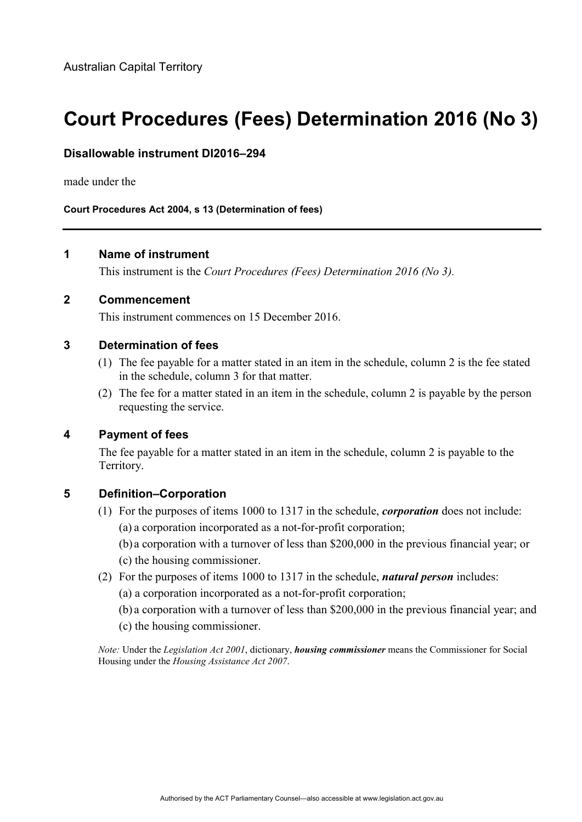# **Court Procedures (Fees) Determination 2016 (No 3)**

#### **Disallowable instrument DI2016–294**

made under the

**Court Procedures Act 2004, s 13 (Determination of fees)**

#### **1 Name of instrument**

This instrument is the *Court Procedures (Fees) Determination 2016 (No 3).*

#### **2 Commencement**

This instrument commences on 15 December 2016.

#### **3 Determination of fees**

- (1) The fee payable for a matter stated in an item in the schedule, column 2 is the fee stated in the schedule, column 3 for that matter.
- (2) The fee for a matter stated in an item in the schedule, column 2 is payable by the person requesting the service.

#### **4 Payment of fees**

The fee payable for a matter stated in an item in the schedule, column 2 is payable to the Territory.

#### **5 Definition–Corporation**

- (1) For the purposes of items 1000 to 1317 in the schedule, *corporation* does not include: (a) a corporation incorporated as a not-for-profit corporation;
	- (b) a corporation with a turnover of less than \$200,000 in the previous financial year; or (c) the housing commissioner.
- (2) For the purposes of items 1000 to 1317 in the schedule, *natural person* includes:
	- (a) a corporation incorporated as a not-for-profit corporation;
	- (b) a corporation with a turnover of less than \$200,000 in the previous financial year; and
	- (c) the housing commissioner.

*Note:* Under the *Legislation Act 2001*, dictionary, *housing commissioner* means the Commissioner for Social Housing under the *Housing Assistance Act 2007*.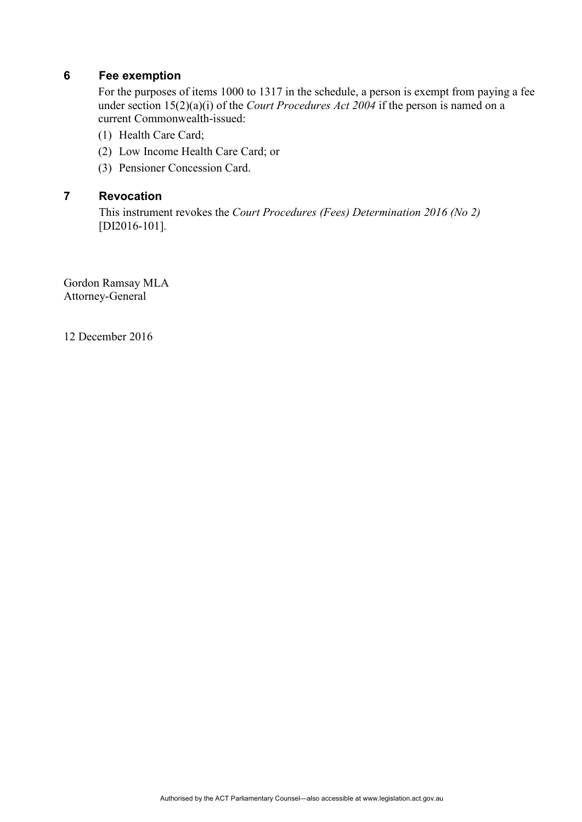## **6 Fee exemption**

For the purposes of items 1000 to 1317 in the schedule, a person is exempt from paying a fee under section 15(2)(a)(i) of the *Court Procedures Act 2004* if the person is named on a current Commonwealth-issued:

- (1) Health Care Card;
- (2) Low Income Health Care Card; or
- (3) Pensioner Concession Card.

#### **7 Revocation**

This instrument revokes the *Court Procedures (Fees) Determination 2016 (No 2)*  [DI2016-101]*.*

Gordon Ramsay MLA Attorney-General

12 December 2016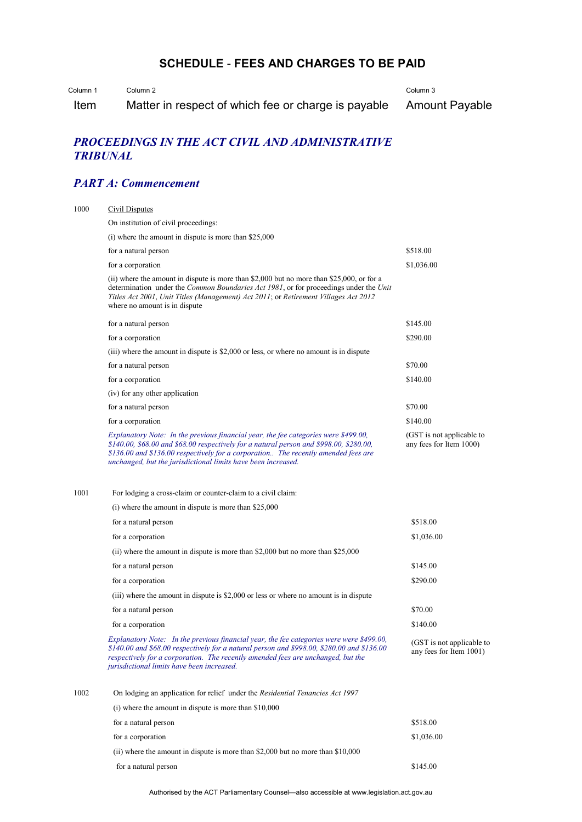# **SCHEDULE** - **FEES AND CHARGES TO BE PAID**

Column 1 Column 2

Item Matter in respect of which fee or charge is payable Column 3 Amount Payable

#### *PROCEEDINGS IN THE ACT CIVIL AND ADMINISTRATIVE TRIBUNAL*

### *PART A: Commencement*

| 1000 | Civil Disputes                                                                                                                                                                                                                                                                                                                        |                                                      |
|------|---------------------------------------------------------------------------------------------------------------------------------------------------------------------------------------------------------------------------------------------------------------------------------------------------------------------------------------|------------------------------------------------------|
|      | On institution of civil proceedings:                                                                                                                                                                                                                                                                                                  |                                                      |
|      | $(i)$ where the amount in dispute is more than \$25,000                                                                                                                                                                                                                                                                               |                                                      |
|      | for a natural person                                                                                                                                                                                                                                                                                                                  | \$518.00                                             |
|      | for a corporation                                                                                                                                                                                                                                                                                                                     | \$1,036.00                                           |
|      | (ii) where the amount in dispute is more than $$2,000$ but no more than $$25,000$ , or for a<br>determination under the <i>Common Boundaries Act 1981</i> , or for proceedings under the <i>Unit</i><br>Titles Act 2001, Unit Titles (Management) Act 2011; or Retirement Villages Act 2012<br>where no amount is in dispute          |                                                      |
|      | for a natural person                                                                                                                                                                                                                                                                                                                  | \$145.00                                             |
|      | for a corporation                                                                                                                                                                                                                                                                                                                     | \$290.00                                             |
|      | (iii) where the amount in dispute is \$2,000 or less, or where no amount is in dispute                                                                                                                                                                                                                                                |                                                      |
|      | for a natural person                                                                                                                                                                                                                                                                                                                  | \$70.00                                              |
|      | for a corporation                                                                                                                                                                                                                                                                                                                     | \$140.00                                             |
|      | (iv) for any other application                                                                                                                                                                                                                                                                                                        |                                                      |
|      | for a natural person                                                                                                                                                                                                                                                                                                                  | \$70.00                                              |
|      | for a corporation                                                                                                                                                                                                                                                                                                                     | \$140.00                                             |
|      | Explanatory Note: In the previous financial year, the fee categories were \$499.00,<br>\$140.00, \$68.00 and \$68.00 respectively for a natural person and \$998.00, \$280.00,<br>\$136.00 and \$136.00 respectively for a corporation The recently amended fees are<br>unchanged, but the jurisdictional limits have been increased. | (GST is not applicable to<br>any fees for Item 1000) |
| 1001 | For lodging a cross-claim or counter-claim to a civil claim:                                                                                                                                                                                                                                                                          |                                                      |
|      | $(i)$ where the amount in dispute is more than \$25,000                                                                                                                                                                                                                                                                               |                                                      |
|      | for a natural person                                                                                                                                                                                                                                                                                                                  | \$518.00                                             |
|      | for a corporation                                                                                                                                                                                                                                                                                                                     | \$1,036.00                                           |
|      | (ii) where the amount in dispute is more than $$2,000$ but no more than $$25,000$                                                                                                                                                                                                                                                     |                                                      |
|      | for a natural person                                                                                                                                                                                                                                                                                                                  | \$145.00                                             |
|      | for a corporation                                                                                                                                                                                                                                                                                                                     | \$290.00                                             |
|      | (iii) where the amount in dispute is \$2,000 or less or where no amount is in dispute                                                                                                                                                                                                                                                 |                                                      |
|      | for a natural person                                                                                                                                                                                                                                                                                                                  | \$70.00                                              |
|      | for a corporation                                                                                                                                                                                                                                                                                                                     | \$140.00                                             |
|      | Explanatory Note: In the previous financial year, the fee categories were were \$499.00,<br>\$140.00 and \$68.00 respectively for a natural person and \$998.00, \$280.00 and \$136.00<br>respectively for a corporation. The recently amended fees are unchanged, but the<br>jurisdictional limits have been increased.              | (GST is not applicable to<br>any fees for Item 1001) |
| 1002 | On lodging an application for relief under the Residential Tenancies Act 1997                                                                                                                                                                                                                                                         |                                                      |
|      | $(i)$ where the amount in dispute is more than \$10,000                                                                                                                                                                                                                                                                               |                                                      |
|      | for a natural person                                                                                                                                                                                                                                                                                                                  | \$518.00                                             |
|      | for a corporation                                                                                                                                                                                                                                                                                                                     | \$1,036.00                                           |
|      | (ii) where the amount in dispute is more than \$2,000 but no more than \$10,000                                                                                                                                                                                                                                                       |                                                      |
|      | for a natural person                                                                                                                                                                                                                                                                                                                  | \$145.00                                             |

Authorised by the ACT Parliamentary Counsel—also accessible at www.legislation.act.gov.au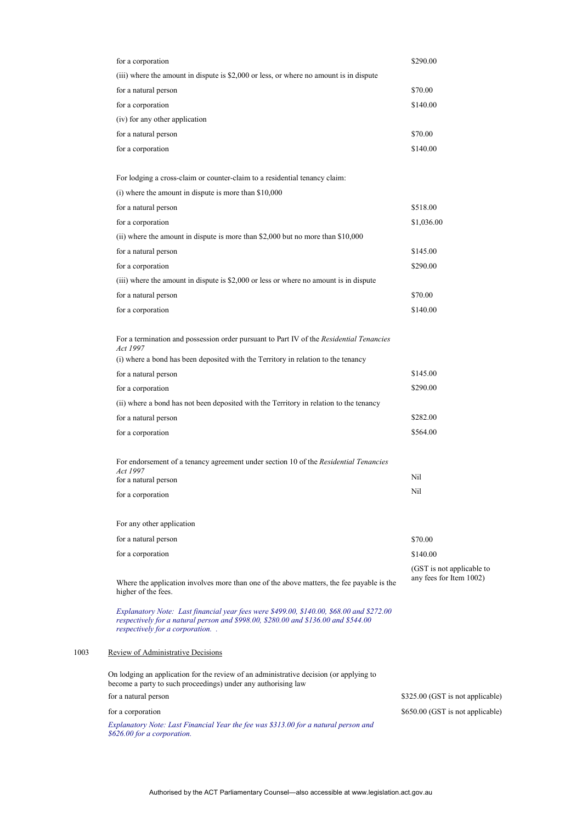| for a corporation                                                                                                                                                                                                | \$290.00                         |
|------------------------------------------------------------------------------------------------------------------------------------------------------------------------------------------------------------------|----------------------------------|
| (iii) where the amount in dispute is \$2,000 or less, or where no amount is in dispute                                                                                                                           |                                  |
| for a natural person                                                                                                                                                                                             | \$70.00                          |
| for a corporation                                                                                                                                                                                                | \$140.00                         |
| (iv) for any other application                                                                                                                                                                                   |                                  |
| for a natural person                                                                                                                                                                                             | \$70.00                          |
| for a corporation                                                                                                                                                                                                | \$140.00                         |
| For lodging a cross-claim or counter-claim to a residential tenancy claim:                                                                                                                                       |                                  |
| $(i)$ where the amount in dispute is more than \$10,000                                                                                                                                                          |                                  |
| for a natural person                                                                                                                                                                                             | \$518.00                         |
| for a corporation                                                                                                                                                                                                | \$1,036.00                       |
| (ii) where the amount in dispute is more than \$2,000 but no more than \$10,000                                                                                                                                  |                                  |
| for a natural person                                                                                                                                                                                             | \$145.00                         |
| for a corporation                                                                                                                                                                                                | \$290.00                         |
| (iii) where the amount in dispute is \$2,000 or less or where no amount is in dispute                                                                                                                            |                                  |
| for a natural person                                                                                                                                                                                             | \$70.00                          |
| for a corporation                                                                                                                                                                                                | \$140.00                         |
| For a termination and possession order pursuant to Part IV of the Residential Tenancies<br>Act 1997<br>(i) where a bond has been deposited with the Territory in relation to the tenancy                         |                                  |
| for a natural person                                                                                                                                                                                             | \$145.00                         |
| for a corporation                                                                                                                                                                                                | \$290.00                         |
| (ii) where a bond has not been deposited with the Territory in relation to the tenancy                                                                                                                           |                                  |
| for a natural person                                                                                                                                                                                             | \$282.00                         |
| for a corporation                                                                                                                                                                                                | \$564.00                         |
|                                                                                                                                                                                                                  |                                  |
| For endorsement of a tenancy agreement under section 10 of the Residential Tenancies<br>Act 1997                                                                                                                 |                                  |
| for a natural person                                                                                                                                                                                             | Nil                              |
| for a corporation                                                                                                                                                                                                | Nil                              |
| For any other application                                                                                                                                                                                        |                                  |
| for a natural person                                                                                                                                                                                             | \$70.00                          |
| for a corporation                                                                                                                                                                                                | \$140.00                         |
|                                                                                                                                                                                                                  | (GST is not applicable to        |
| Where the application involves more than one of the above matters, the fee payable is the<br>higher of the fees.                                                                                                 | any fees for Item 1002)          |
| Explanatory Note: Last financial year fees were \$499.00, \$140.00, \$68.00 and \$272.00<br>respectively for a natural person and \$998.00, \$280.00 and \$136.00 and \$544.00<br>respectively for a corporation |                                  |
| Review of Administrative Decisions                                                                                                                                                                               |                                  |
| On lodging an application for the review of an administrative decision (or applying to<br>become a party to such proceedings) under any authorising law                                                          |                                  |
| for a natural person                                                                                                                                                                                             | \$325.00 (GST is not applicable) |
| for a corporation                                                                                                                                                                                                | \$650.00 (GST is not applicable) |

*Explanatory Note: Last Financial Year the fee was \$313.00 for a natural person and \$626.00 for a corporation.*

 $1003$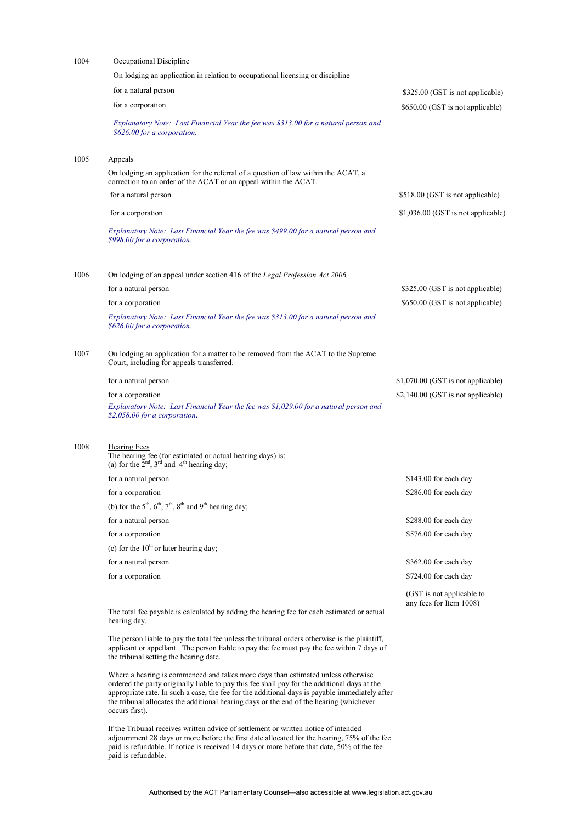| 1004 | Occupational Discipline                                                                                                                                                                                                               |                                                      |
|------|---------------------------------------------------------------------------------------------------------------------------------------------------------------------------------------------------------------------------------------|------------------------------------------------------|
|      | On lodging an application in relation to occupational licensing or discipline                                                                                                                                                         |                                                      |
|      | for a natural person                                                                                                                                                                                                                  | \$325.00 (GST is not applicable)                     |
|      | for a corporation                                                                                                                                                                                                                     | \$650.00 (GST is not applicable)                     |
|      | Explanatory Note: Last Financial Year the fee was \$313.00 for a natural person and<br>\$626.00 for a corporation.                                                                                                                    |                                                      |
| 1005 | Appeals                                                                                                                                                                                                                               |                                                      |
|      | On lodging an application for the referral of a question of law within the ACAT, a<br>correction to an order of the ACAT or an appeal within the ACAT.                                                                                |                                                      |
|      | for a natural person                                                                                                                                                                                                                  | \$518.00 (GST is not applicable)                     |
|      | for a corporation                                                                                                                                                                                                                     | \$1,036.00 (GST is not applicable)                   |
|      | Explanatory Note: Last Financial Year the fee was \$499.00 for a natural person and<br>\$998.00 for a corporation.                                                                                                                    |                                                      |
| 1006 | On lodging of an appeal under section 416 of the Legal Profession Act 2006.                                                                                                                                                           |                                                      |
|      | for a natural person                                                                                                                                                                                                                  | \$325.00 (GST is not applicable)                     |
|      | for a corporation                                                                                                                                                                                                                     | \$650.00 (GST is not applicable)                     |
|      | Explanatory Note: Last Financial Year the fee was \$313.00 for a natural person and<br>\$626.00 for a corporation.                                                                                                                    |                                                      |
| 1007 | On lodging an application for a matter to be removed from the ACAT to the Supreme<br>Court, including for appeals transferred.                                                                                                        |                                                      |
|      | for a natural person                                                                                                                                                                                                                  | \$1,070.00 (GST is not applicable)                   |
|      | for a corporation                                                                                                                                                                                                                     | \$2,140.00 (GST is not applicable)                   |
|      | Explanatory Note: Last Financial Year the fee was \$1,029.00 for a natural person and<br>\$2,058.00 for a corporation.                                                                                                                |                                                      |
| 1008 | <b>Hearing Fees</b><br>The hearing fee (for estimated or actual hearing days) is:<br>(a) for the $2^{nd}$ , $3^{rd}$ and $4^{th}$ hearing day;                                                                                        |                                                      |
|      | for a natural person                                                                                                                                                                                                                  | \$143.00 for each day                                |
|      | for a corporation                                                                                                                                                                                                                     | \$286.00 for each day                                |
|      | (b) for the $5th$ , $6th$ , $7th$ , $8th$ and $9th$ hearing day;                                                                                                                                                                      |                                                      |
|      | for a natural person                                                                                                                                                                                                                  | \$288.00 for each day                                |
|      | for a corporation                                                                                                                                                                                                                     | \$576.00 for each day                                |
|      | (c) for the $10^{th}$ or later hearing day;                                                                                                                                                                                           |                                                      |
|      | for a natural person                                                                                                                                                                                                                  | \$362.00 for each day                                |
|      | for a corporation                                                                                                                                                                                                                     | \$724.00 for each day                                |
|      |                                                                                                                                                                                                                                       | (GST is not applicable to<br>any fees for Item 1008) |
|      | The total fee payable is calculated by adding the hearing fee for each estimated or actual<br>hearing day.                                                                                                                            |                                                      |
|      | The person liable to pay the total fee unless the tribunal orders otherwise is the plaintiff,<br>applicant or appellant. The person liable to pay the fee must pay the fee within 7 days of<br>the tribunal setting the hearing date. |                                                      |
|      | Where a hearing is commenced and takes more days than estimated unless otherwise                                                                                                                                                      |                                                      |

ordered the party originally liable to pay this fee shall pay for the additional days at the appropriate rate. In such a case, the fee for the additional days is payable immediately after the tribunal allocates the additional hearing days or the end of the hearing (whichever occurs first).

If the Tribunal receives written advice of settlement or written notice of intended adjournment 28 days or more before the first date allocated for the hearing, 75% of the fee paid is refundable. If notice is received 14 days or more before that date, 50% of the fee paid is refundable.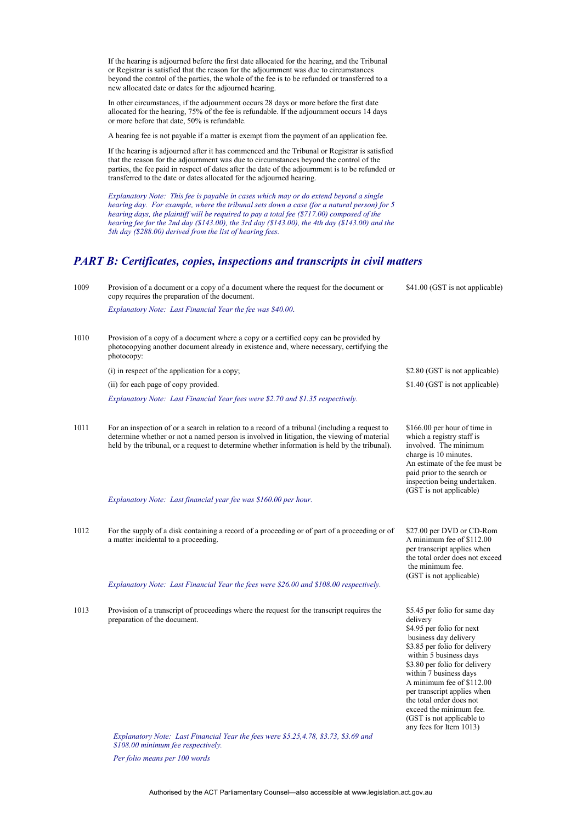If the hearing is adjourned before the first date allocated for the hearing, and the Tribunal or Registrar is satisfied that the reason for the adjournment was due to circumstances beyond the control of the parties, the whole of the fee is to be refunded or transferred to a new allocated date or dates for the adjourned hearing.

In other circumstances, if the adjournment occurs 28 days or more before the first date allocated for the hearing, 75% of the fee is refundable. If the adjournment occurs 14 days or more before that date, 50% is refundable.

A hearing fee is not payable if a matter is exempt from the payment of an application fee.

If the hearing is adjourned after it has commenced and the Tribunal or Registrar is satisfied that the reason for the adjournment was due to circumstances beyond the control of the parties, the fee paid in respect of dates after the date of the adjournment is to be refunded or transferred to the date or dates allocated for the adjourned hearing.

*Explanatory Note: This fee is payable in cases which may or do extend beyond a single hearing day. For example, where the tribunal sets down a case (for a natural person) for 5 hearing days, the plaintiff will be required to pay a total fee (\$717.00) composed of the hearing fee for the 2nd day (\$143.00), the 3rd day (\$143.00), the 4th day (\$143.00) and the 5th day (\$288.00) derived from the list of hearing fees.*

#### *PART B: Certificates, copies, inspections and transcripts in civil matters*

| 1009 | Provision of a document or a copy of a document where the request for the document or<br>copy requires the preparation of the document.                                                                                                                                                       | \$41.00 (GST is not applicable)                                                                                                                                                                                                                                                                                                                                                                  |
|------|-----------------------------------------------------------------------------------------------------------------------------------------------------------------------------------------------------------------------------------------------------------------------------------------------|--------------------------------------------------------------------------------------------------------------------------------------------------------------------------------------------------------------------------------------------------------------------------------------------------------------------------------------------------------------------------------------------------|
|      | Explanatory Note: Last Financial Year the fee was \$40.00.                                                                                                                                                                                                                                    |                                                                                                                                                                                                                                                                                                                                                                                                  |
| 1010 | Provision of a copy of a document where a copy or a certified copy can be provided by<br>photocopying another document already in existence and, where necessary, certifying the<br>photocopy:                                                                                                |                                                                                                                                                                                                                                                                                                                                                                                                  |
|      | (i) in respect of the application for a copy;                                                                                                                                                                                                                                                 | \$2.80 (GST is not applicable)                                                                                                                                                                                                                                                                                                                                                                   |
|      | (ii) for each page of copy provided.                                                                                                                                                                                                                                                          | \$1.40 (GST is not applicable)                                                                                                                                                                                                                                                                                                                                                                   |
|      | Explanatory Note: Last Financial Year fees were \$2.70 and \$1.35 respectively.                                                                                                                                                                                                               |                                                                                                                                                                                                                                                                                                                                                                                                  |
| 1011 | For an inspection of or a search in relation to a record of a tribunal (including a request to<br>determine whether or not a named person is involved in litigation, the viewing of material<br>held by the tribunal, or a request to determine whether information is held by the tribunal). | \$166.00 per hour of time in<br>which a registry staff is<br>involved. The minimum<br>charge is 10 minutes.<br>An estimate of the fee must be<br>paid prior to the search or<br>inspection being undertaken.<br>(GST is not applicable)                                                                                                                                                          |
|      | Explanatory Note: Last financial year fee was \$160.00 per hour.                                                                                                                                                                                                                              |                                                                                                                                                                                                                                                                                                                                                                                                  |
| 1012 | For the supply of a disk containing a record of a proceeding or of part of a proceeding or of<br>a matter incidental to a proceeding.<br>Explanatory Note: Last Financial Year the fees were \$26.00 and \$108.00 respectively.                                                               | \$27.00 per DVD or CD-Rom<br>A minimum fee of \$112.00<br>per transcript applies when<br>the total order does not exceed<br>the minimum fee.<br>(GST is not applicable)                                                                                                                                                                                                                          |
| 1013 | Provision of a transcript of proceedings where the request for the transcript requires the<br>preparation of the document.                                                                                                                                                                    | \$5.45 per folio for same day<br>delivery<br>\$4.95 per folio for next<br>business day delivery<br>\$3.85 per folio for delivery<br>within 5 business days<br>\$3.80 per folio for delivery<br>within 7 business days<br>A minimum fee of \$112.00<br>per transcript applies when<br>the total order does not<br>exceed the minimum fee.<br>(GST is not applicable to<br>any fees for Item 1013) |
|      | Explanatory Note: Last Financial Year the fees were \$5.25,4.78, \$3.73, \$3.69 and                                                                                                                                                                                                           |                                                                                                                                                                                                                                                                                                                                                                                                  |

*\$108.00 minimum fee respectively.*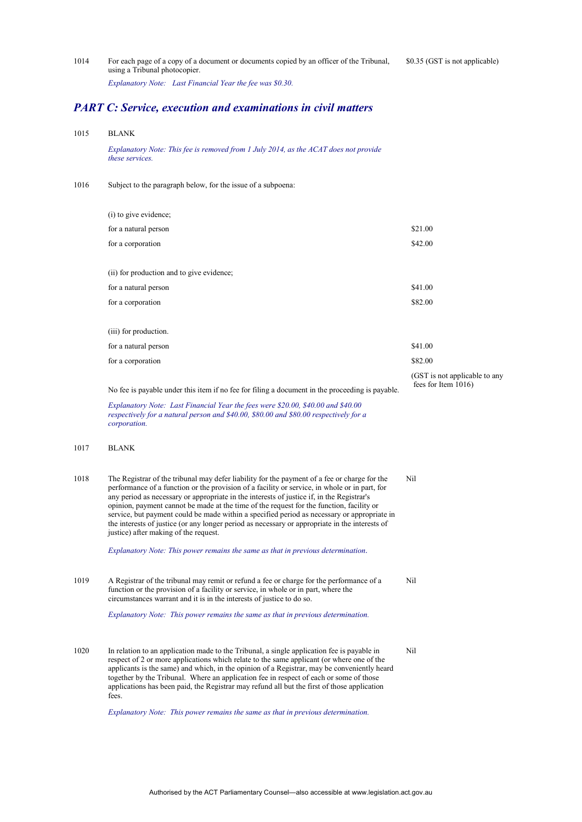1014 For each page of a copy of a document or documents copied by an officer of the Tribunal, using a Tribunal photocopier. \$0.35 (GST is not applicable)

*Explanatory Note: Last Financial Year the fee was \$0.30.*

#### *PART C: Service, execution and examinations in civil matters*

1015 BLANK

*Explanatory Note: This fee is removed from 1 July 2014, as the ACAT does not provide these services.*

1016 Subject to the paragraph below, for the issue of a subpoena:

| (i) to give evidence;                     |                               |
|-------------------------------------------|-------------------------------|
| for a natural person                      | \$21.00                       |
| for a corporation                         | \$42.00                       |
|                                           |                               |
| (ii) for production and to give evidence; |                               |
| for a natural person                      | \$41.00                       |
| for a corporation                         | \$82.00                       |
| (iii) for production.                     |                               |
|                                           | \$41.00                       |
| for a natural person                      |                               |
| for a corporation                         | \$82.00                       |
|                                           | (GST is not applicable to any |

fees for Item 1016)

No fee is payable under this item if no fee for filing a document in the proceeding is payable.

*Explanatory Note: Last Financial Year the fees were \$20.00, \$40.00 and \$40.00 respectively for a natural person and \$40.00, \$80.00 and \$80.00 respectively for a corporation.* 

- 1017 BLANK
- 1018 The Registrar of the tribunal may defer liability for the payment of a fee or charge for the performance of a function or the provision of a facility or service, in whole or in part, for any period as necessary or appropriate in the interests of justice if, in the Registrar's opinion, payment cannot be made at the time of the request for the function, facility or service, but payment could be made within a specified period as necessary or appropriate in the interests of justice (or any longer period as necessary or appropriate in the interests of justice) after making of the request. Nil

*Explanatory Note: This power remains the same as that in previous determination.* 

1019 A Registrar of the tribunal may remit or refund a fee or charge for the performance of a function or the provision of a facility or service, in whole or in part, where the circumstances warrant and it is in the interests of justice to do so. Nil

*Explanatory Note: This power remains the same as that in previous determination.* 

1020 In relation to an application made to the Tribunal, a single application fee is payable in respect of 2 or more applications which relate to the same applicant (or where one of the applicants is the same) and which, in the opinion of a Registrar, may be conveniently heard together by the Tribunal. Where an application fee in respect of each or some of those applications has been paid, the Registrar may refund all but the first of those application fees. Nil

*Explanatory Note: This power remains the same as that in previous determination.*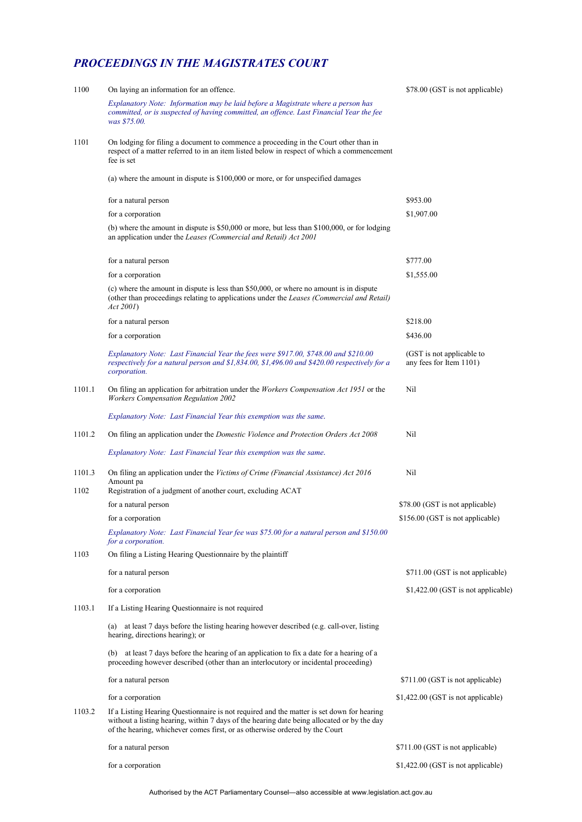# *PROCEEDINGS IN THE MAGISTRATES COURT*

| 1100   | On laying an information for an offence.                                                                                                                                                                                                                               | \$78.00 (GST is not applicable)                      |
|--------|------------------------------------------------------------------------------------------------------------------------------------------------------------------------------------------------------------------------------------------------------------------------|------------------------------------------------------|
|        | Explanatory Note: Information may be laid before a Magistrate where a person has<br>committed, or is suspected of having committed, an offence. Last Financial Year the fee<br>was \$75.00.                                                                            |                                                      |
| 1101   | On lodging for filing a document to commence a proceeding in the Court other than in<br>respect of a matter referred to in an item listed below in respect of which a commencement<br>fee is set                                                                       |                                                      |
|        | (a) where the amount in dispute is \$100,000 or more, or for unspecified damages                                                                                                                                                                                       |                                                      |
|        | for a natural person                                                                                                                                                                                                                                                   | \$953.00                                             |
|        | for a corporation                                                                                                                                                                                                                                                      | \$1,907.00                                           |
|        | (b) where the amount in dispute is $$50,000$ or more, but less than $$100,000$ , or for lodging<br>an application under the Leases (Commercial and Retail) Act 2001                                                                                                    |                                                      |
|        | for a natural person                                                                                                                                                                                                                                                   | \$777.00                                             |
|        | for a corporation                                                                                                                                                                                                                                                      | \$1,555.00                                           |
|        | (c) where the amount in dispute is less than \$50,000, or where no amount is in dispute<br>(other than proceedings relating to applications under the Leases (Commercial and Retail)<br>Act 2001                                                                       |                                                      |
|        | for a natural person                                                                                                                                                                                                                                                   | \$218.00                                             |
|        | for a corporation                                                                                                                                                                                                                                                      | \$436.00                                             |
|        | Explanatory Note: Last Financial Year the fees were \$917.00, \$748.00 and \$210.00<br>respectively for a natural person and \$1,834.00, \$1,496.00 and \$420.00 respectively for a<br>corporation.                                                                    | (GST is not applicable to<br>any fees for Item 1101) |
| 1101.1 | On filing an application for arbitration under the <i>Workers Compensation Act 1951</i> or the<br><b>Workers Compensation Regulation 2002</b>                                                                                                                          | Nil                                                  |
|        | Explanatory Note: Last Financial Year this exemption was the same.                                                                                                                                                                                                     |                                                      |
| 1101.2 | On filing an application under the <i>Domestic Violence and Protection Orders Act</i> 2008                                                                                                                                                                             | Nil                                                  |
|        | Explanatory Note: Last Financial Year this exemption was the same.                                                                                                                                                                                                     |                                                      |
| 1101.3 | On filing an application under the Victims of Crime (Financial Assistance) Act 2016<br>Amount pa                                                                                                                                                                       | Nil                                                  |
| 1102   | Registration of a judgment of another court, excluding ACAT                                                                                                                                                                                                            |                                                      |
|        | for a natural person                                                                                                                                                                                                                                                   | \$78.00 (GST is not applicable)                      |
|        | for a corporation                                                                                                                                                                                                                                                      | \$156.00 (GST is not applicable)                     |
|        | Explanatory Note: Last Financial Year fee was \$75.00 for a natural person and \$150.00<br>for a corporation.                                                                                                                                                          |                                                      |
| 1103   | On filing a Listing Hearing Questionnaire by the plaintiff                                                                                                                                                                                                             |                                                      |
|        | for a natural person                                                                                                                                                                                                                                                   | \$711.00 (GST is not applicable)                     |
|        | for a corporation                                                                                                                                                                                                                                                      | $$1,422.00$ (GST is not applicable)                  |
| 1103.1 | If a Listing Hearing Questionnaire is not required                                                                                                                                                                                                                     |                                                      |
|        | (a) at least 7 days before the listing hearing however described (e.g. call-over, listing<br>hearing, directions hearing); or                                                                                                                                          |                                                      |
|        | (b) at least 7 days before the hearing of an application to fix a date for a hearing of a<br>proceeding however described (other than an interlocutory or incidental proceeding)                                                                                       |                                                      |
|        | for a natural person                                                                                                                                                                                                                                                   | \$711.00 (GST is not applicable)                     |
|        | for a corporation                                                                                                                                                                                                                                                      | \$1,422.00 (GST is not applicable)                   |
| 1103.2 | If a Listing Hearing Questionnaire is not required and the matter is set down for hearing<br>without a listing hearing, within 7 days of the hearing date being allocated or by the day<br>of the hearing, whichever comes first, or as otherwise ordered by the Court |                                                      |
|        | for a natural person                                                                                                                                                                                                                                                   | \$711.00 (GST is not applicable)                     |
|        | for a corporation                                                                                                                                                                                                                                                      | \$1,422.00 (GST is not applicable)                   |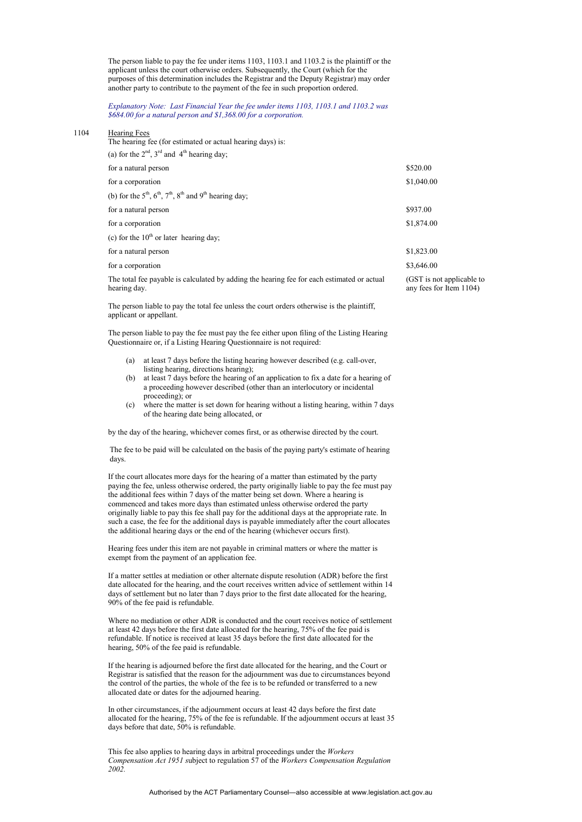The person liable to pay the fee under items 1103, 1103.1 and 1103.2 is the plaintiff or the applicant unless the court otherwise orders. Subsequently, the Court (which for the purposes of this determination includes the Registrar and the Deputy Registrar) may order another party to contribute to the payment of the fee in such proportion ordered.

*Explanatory Note: Last Financial Year the fee under items 1103, 1103.1 and 1103.2 was \$684.00 for a natural person and \$1,368.00 for a corporation.*

#### 1104 Hearing Fees

The hearing fee (for estimated or actual hearing days) is:

| (a) for the $2nd$ , $3rd$ and $4th$ hearing day;                                                          |                                                      |
|-----------------------------------------------------------------------------------------------------------|------------------------------------------------------|
| for a natural person                                                                                      | \$520.00                                             |
| for a corporation                                                                                         | \$1,040.00                                           |
| (b) for the $5th$ , $6th$ , $7th$ , $8th$ and $9th$ hearing day;                                          |                                                      |
| for a natural person                                                                                      | \$937.00                                             |
| for a corporation                                                                                         | \$1,874.00                                           |
| (c) for the $10th$ or later hearing day;                                                                  |                                                      |
| for a natural person                                                                                      | \$1,823.00                                           |
| for a corporation                                                                                         | \$3,646.00                                           |
| The total fee payable is calculated by adding the hearing fee for each estimated or actual<br>hearing day | (GST is not applicable to<br>any fees for Item 1104) |

The person liable to pay the total fee unless the court orders otherwise is the plaintiff, applicant or appellant.

The person liable to pay the fee must pay the fee either upon filing of the Listing Hearing Questionnaire or, if a Listing Hearing Questionnaire is not required:

- (a) at least 7 days before the listing hearing however described (e.g. call-over, listing hearing, directions hearing);
- at least 7 days before the hearing of an application to fix a date for a hearing of a proceeding however described (other than an interlocutory or incidental proceeding); or
- (c) where the matter is set down for hearing without a listing hearing, within 7 days of the hearing date being allocated, or

by the day of the hearing, whichever comes first, or as otherwise directed by the court.

The fee to be paid will be calculated on the basis of the paying party's estimate of hearing days.

If the court allocates more days for the hearing of a matter than estimated by the party paying the fee, unless otherwise ordered, the party originally liable to pay the fee must pay the additional fees within 7 days of the matter being set down. Where a hearing is commenced and takes more days than estimated unless otherwise ordered the party originally liable to pay this fee shall pay for the additional days at the appropriate rate. In such a case, the fee for the additional days is payable immediately after the court allocates the additional hearing days or the end of the hearing (whichever occurs first).

Hearing fees under this item are not payable in criminal matters or where the matter is exempt from the payment of an application fee.

If a matter settles at mediation or other alternate dispute resolution (ADR) before the first date allocated for the hearing, and the court receives written advice of settlement within 14 days of settlement but no later than 7 days prior to the first date allocated for the hearing, 90% of the fee paid is refundable.

Where no mediation or other ADR is conducted and the court receives notice of settlement at least 42 days before the first date allocated for the hearing, 75% of the fee paid is refundable. If notice is received at least 35 days before the first date allocated for the hearing, 50% of the fee paid is refundable.

If the hearing is adjourned before the first date allocated for the hearing, and the Court or Registrar is satisfied that the reason for the adjournment was due to circumstances beyond the control of the parties, the whole of the fee is to be refunded or transferred to a new allocated date or dates for the adjourned hearing.

In other circumstances, if the adjournment occurs at least 42 days before the first date allocated for the hearing, 75% of the fee is refundable. If the adjournment occurs at least 35 days before that date, 50% is refundable.

This fee also applies to hearing days in arbitral proceedings under the *Workers Compensation Act 1951 s*ubject to regulation 57 of the *Workers Compensation Regulation 2002.*

Authorised by the ACT Parliamentary Counsel—also accessible at www.legislation.act.gov.au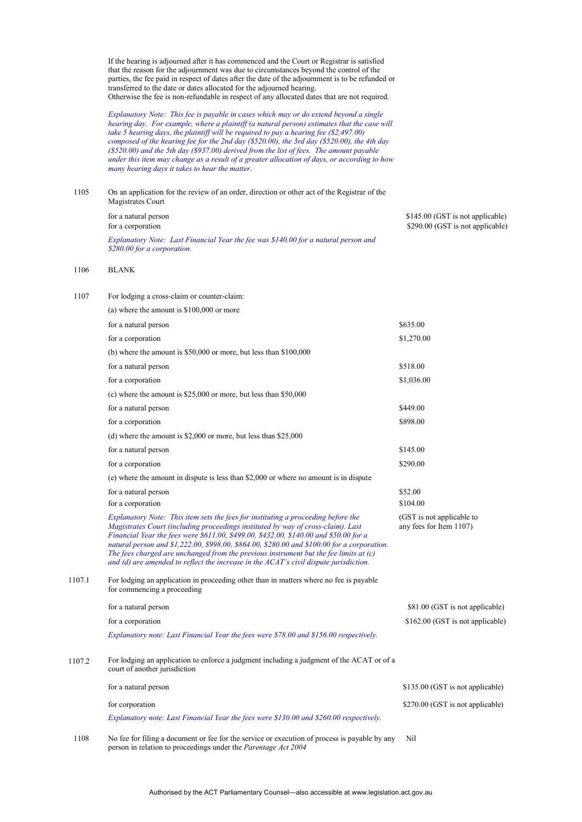If the hearing is adjourned after it has commenced and the Court or Registrar is satisfied that the reason for the adjournment was due to circumstances beyond the control of the parties, the fee paid in respect of dates after the date of the adjournment is to be refunded or transferred to the date or dates allocated for the adjourned hearing. Otherwise the fee is non-refundable in respect of any allocated dates that are not required.

*Explanatory Note: This fee is payable in cases which may or do extend beyond a single hearing day. For example, where a plaintiff (a natural person) estimates that the case will take 5 hearing days, the plaintiff will be required to pay a hearing fee (\$2,497.00) composed of the hearing fee for the 2nd day (\$520.00), the 3rd day (\$520.00), the 4th day (\$520.00) and the 5th day (\$937.00) derived from the list of fees. The amount payable under this item may change as a result of a greater allocation of days, or according to how many hearing days it takes to hear the matter.*

| 1105 | On an application for the review of an order, direction or other act of the Registrar of the<br>Magistrates Court  |                                                                      |
|------|--------------------------------------------------------------------------------------------------------------------|----------------------------------------------------------------------|
|      | for a natural person<br>for a corporation                                                                          | \$145.00 (GST is not applicable)<br>\$290.00 (GST is not applicable) |
|      | Explanatory Note: Last Financial Year the fee was \$140.00 for a natural person and<br>\$280.00 for a corporation. |                                                                      |

#### 1106 BLANK

| 1107   | For lodging a cross-claim or counter-claim:                                                                                                                                                                                                                                                                                                                                                                                                                                                                                                     |                                                      |
|--------|-------------------------------------------------------------------------------------------------------------------------------------------------------------------------------------------------------------------------------------------------------------------------------------------------------------------------------------------------------------------------------------------------------------------------------------------------------------------------------------------------------------------------------------------------|------------------------------------------------------|
|        | (a) where the amount is $$100,000$ or more                                                                                                                                                                                                                                                                                                                                                                                                                                                                                                      |                                                      |
|        | for a natural person                                                                                                                                                                                                                                                                                                                                                                                                                                                                                                                            | \$635.00                                             |
|        | for a corporation                                                                                                                                                                                                                                                                                                                                                                                                                                                                                                                               | \$1,270.00                                           |
|        | (b) where the amount is $$50,000$ or more, but less than $$100,000$                                                                                                                                                                                                                                                                                                                                                                                                                                                                             |                                                      |
|        | for a natural person                                                                                                                                                                                                                                                                                                                                                                                                                                                                                                                            | \$518.00                                             |
|        | for a corporation                                                                                                                                                                                                                                                                                                                                                                                                                                                                                                                               | \$1,036.00                                           |
|        | (c) where the amount is $$25,000$ or more, but less than $$50,000$                                                                                                                                                                                                                                                                                                                                                                                                                                                                              |                                                      |
|        | for a natural person                                                                                                                                                                                                                                                                                                                                                                                                                                                                                                                            | \$449.00                                             |
|        | for a corporation                                                                                                                                                                                                                                                                                                                                                                                                                                                                                                                               | \$898.00                                             |
|        | (d) where the amount is $$2,000$ or more, but less than $$25,000$                                                                                                                                                                                                                                                                                                                                                                                                                                                                               |                                                      |
|        | for a natural person                                                                                                                                                                                                                                                                                                                                                                                                                                                                                                                            | \$145.00                                             |
|        | for a corporation                                                                                                                                                                                                                                                                                                                                                                                                                                                                                                                               | \$290.00                                             |
|        | (e) where the amount in dispute is less than \$2,000 or where no amount is in dispute                                                                                                                                                                                                                                                                                                                                                                                                                                                           |                                                      |
|        | for a natural person                                                                                                                                                                                                                                                                                                                                                                                                                                                                                                                            | \$52.00                                              |
|        | for a corporation                                                                                                                                                                                                                                                                                                                                                                                                                                                                                                                               | \$104.00                                             |
|        | Explanatory Note: This item sets the fees for instituting a proceeding before the<br>Magistrates Court (including proceedings instituted by way of cross-claim). Last<br>Financial Year the fees were \$611.00, \$499.00, \$432.00, \$140.00 and \$50.00 for a<br>natural person and \$1,222.00, \$998.00, \$864.00, \$280.00 and \$100.00 for a corporation.<br>The fees charged are unchanged from the previous instrument but the fee limits at (c)<br>and (d) are amended to reflect the increase in the ACAT's civil dispute jurisdiction. | (GST is not applicable to<br>any fees for Item 1107) |
| 1107.1 | For lodging an application in proceeding other than in matters where no fee is payable<br>for commencing a proceeding                                                                                                                                                                                                                                                                                                                                                                                                                           |                                                      |
|        | for a natural person                                                                                                                                                                                                                                                                                                                                                                                                                                                                                                                            | \$81.00 (GST is not applicable)                      |
|        | for a corporation                                                                                                                                                                                                                                                                                                                                                                                                                                                                                                                               | \$162.00 (GST is not applicable)                     |
|        | Explanatory note: Last Financial Year the fees were \$78.00 and \$156.00 respectively.                                                                                                                                                                                                                                                                                                                                                                                                                                                          |                                                      |
| 1107.2 | For lodging an application to enforce a judgment including a judgment of the ACAT or of a<br>court of another jurisdiction                                                                                                                                                                                                                                                                                                                                                                                                                      |                                                      |
|        | for a natural person                                                                                                                                                                                                                                                                                                                                                                                                                                                                                                                            | \$135.00 (GST is not applicable)                     |
|        | for corporation                                                                                                                                                                                                                                                                                                                                                                                                                                                                                                                                 | \$270.00 (GST is not applicable)                     |
|        | Explanatory note: Last Financial Year the fees were \$130.00 and \$260.00 respectively.                                                                                                                                                                                                                                                                                                                                                                                                                                                         |                                                      |
| 1108   | No fee for filing a document or fee for the service or execution of process is payable by any                                                                                                                                                                                                                                                                                                                                                                                                                                                   | Nil                                                  |

person in relation to proceedings under the *Parentage Act 2004*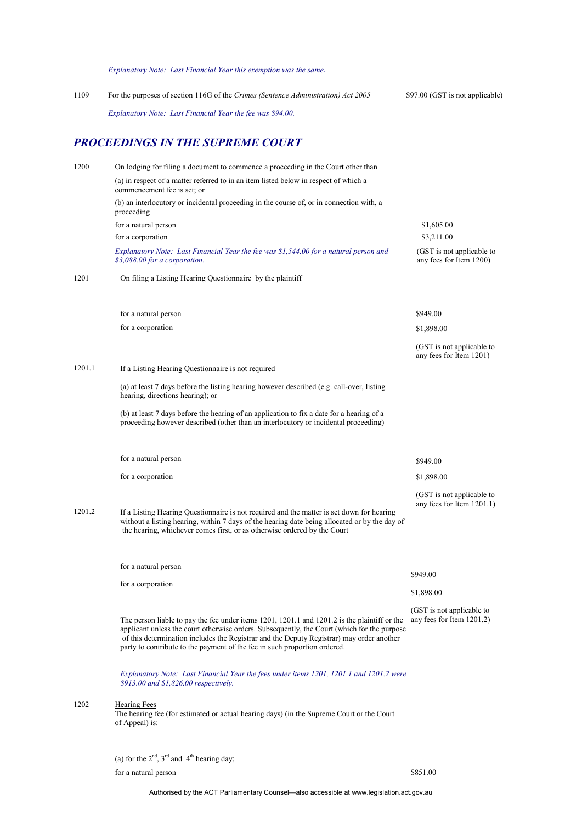*Explanatory Note: Last Financial Year this exemption was the same.* 

| 1109 | For the purposes of section 116G of the Crimes (Sentence Administration) Act 2005 | \$97.00 (GST is not applicable) |
|------|-----------------------------------------------------------------------------------|---------------------------------|
|      | Explanatory Note: Last Financial Year the fee was \$94.00.                        |                                 |

## *PROCEEDINGS IN THE SUPREME COURT*

| 1200   | On lodging for filing a document to commence a proceeding in the Court other than                                                                                                                                                                                                                                                                                    |                                                           |
|--------|----------------------------------------------------------------------------------------------------------------------------------------------------------------------------------------------------------------------------------------------------------------------------------------------------------------------------------------------------------------------|-----------------------------------------------------------|
|        | (a) in respect of a matter referred to in an item listed below in respect of which a<br>commencement fee is set: or                                                                                                                                                                                                                                                  |                                                           |
|        | (b) an interlocutory or incidental proceeding in the course of, or in connection with, a<br>proceeding                                                                                                                                                                                                                                                               |                                                           |
|        | for a natural person                                                                                                                                                                                                                                                                                                                                                 | \$1,605.00                                                |
|        | for a corporation                                                                                                                                                                                                                                                                                                                                                    | \$3,211.00                                                |
|        | Explanatory Note: Last Financial Year the fee was \$1,544.00 for a natural person and<br>\$3,088.00 for a corporation.                                                                                                                                                                                                                                               | (GST is not applicable to<br>any fees for Item 1200)      |
| 1201   | On filing a Listing Hearing Questionnaire by the plaintiff                                                                                                                                                                                                                                                                                                           |                                                           |
|        | for a natural person                                                                                                                                                                                                                                                                                                                                                 | \$949.00                                                  |
|        | for a corporation                                                                                                                                                                                                                                                                                                                                                    | \$1,898.00                                                |
|        |                                                                                                                                                                                                                                                                                                                                                                      | (GST is not applicable to<br>any fees for Item 1201)      |
| 1201.1 | If a Listing Hearing Questionnaire is not required                                                                                                                                                                                                                                                                                                                   |                                                           |
|        | (a) at least 7 days before the listing hearing however described (e.g. call-over, listing<br>hearing, directions hearing); or                                                                                                                                                                                                                                        |                                                           |
|        | (b) at least 7 days before the hearing of an application to fix a date for a hearing of a<br>proceeding however described (other than an interlocutory or incidental proceeding)                                                                                                                                                                                     |                                                           |
|        | for a natural person                                                                                                                                                                                                                                                                                                                                                 | \$949.00                                                  |
|        | for a corporation                                                                                                                                                                                                                                                                                                                                                    | \$1,898.00                                                |
| 1201.2 | If a Listing Hearing Questionnaire is not required and the matter is set down for hearing<br>without a listing hearing, within 7 days of the hearing date being allocated or by the day of<br>the hearing, whichever comes first, or as otherwise ordered by the Court                                                                                               | (GST is not applicable to<br>any fees for Item $1201.1$ ) |
|        | for a natural person                                                                                                                                                                                                                                                                                                                                                 |                                                           |
|        | for a corporation                                                                                                                                                                                                                                                                                                                                                    | \$949.00                                                  |
|        |                                                                                                                                                                                                                                                                                                                                                                      | \$1,898.00                                                |
|        | The person liable to pay the fee under items 1201, 1201.1 and 1201.2 is the plaintiff or the<br>applicant unless the court otherwise orders. Subsequently, the Court (which for the purpose<br>of this determination includes the Registrar and the Deputy Registrar) may order another<br>party to contribute to the payment of the fee in such proportion ordered. | (GST is not applicable to<br>any fees for Item 1201.2)    |
|        | Explanatory Note: Last Financial Year the fees under items 1201, 1201.1 and 1201.2 were<br>\$913.00 and \$1,826.00 respectively.                                                                                                                                                                                                                                     |                                                           |
| 1202   | <b>Hearing Fees</b><br>The hearing fee (for estimated or actual hearing days) (in the Supreme Court or the Court<br>of Appeal) is:                                                                                                                                                                                                                                   |                                                           |
|        | (a) for the $2nd$ , $3rd$ and $4th$ hearing day;                                                                                                                                                                                                                                                                                                                     |                                                           |
|        | for a natural person                                                                                                                                                                                                                                                                                                                                                 | \$851.00                                                  |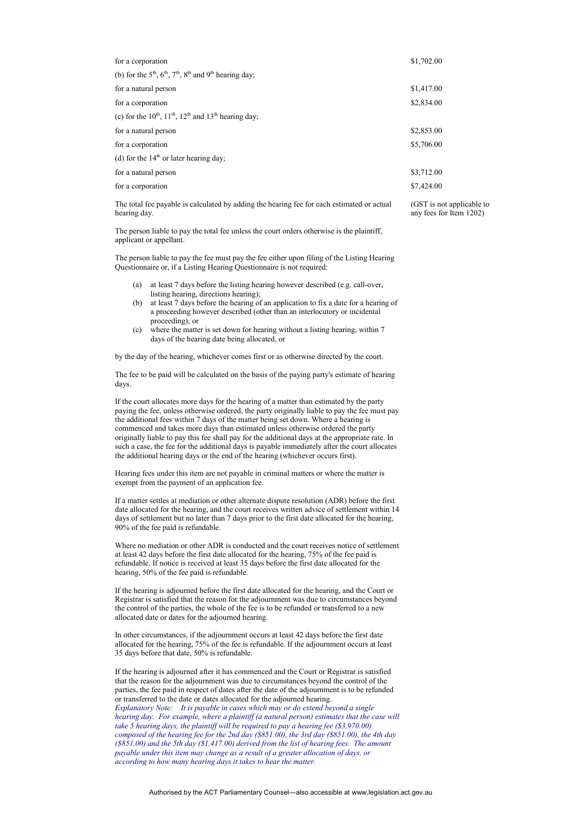| for a corporation                                                                                                            | \$1,702.00 |
|------------------------------------------------------------------------------------------------------------------------------|------------|
| (b) for the $5th$ , $6th$ , $7th$ , $8th$ and $9th$ hearing day;                                                             |            |
| for a natural person                                                                                                         | \$1,417.00 |
| for a corporation                                                                                                            | \$2,834.00 |
| (c) for the $10^{th}$ , $11^{th}$ , $12^{th}$ and $13^{th}$ hearing day;                                                     |            |
| for a natural person                                                                                                         | \$2,853.00 |
| for a corporation                                                                                                            | \$5,706.00 |
| (d) for the $14th$ or later hearing day;                                                                                     |            |
| for a natural person                                                                                                         | \$3,712.00 |
| for a corporation                                                                                                            | \$7,424.00 |
| The sessing are consistent to controllers at the coldinary than the control of the controllers of the control of the control | $CCT: -1$  |

The total fee payable is calculated by adding the hearing fee for each estimated or actual hearing day.

The person liable to pay the total fee unless the court orders otherwise is the plaintiff, applicant or appellant.

The person liable to pay the fee must pay the fee either upon filing of the Listing Hearing Questionnaire or, if a Listing Hearing Questionnaire is not required:

- (a) at least 7 days before the listing hearing however described (e.g. call-over, listing hearing, directions hearing);
- (b) at least 7 days before the hearing of an application to fix a date for a hearing of a proceeding however described (other than an interlocutory or incidental proceeding); or
- (c) where the matter is set down for hearing without a listing hearing, within 7 days of the hearing date being allocated, or

by the day of the hearing, whichever comes first or as otherwise directed by the court.

The fee to be paid will be calculated on the basis of the paying party's estimate of hearing days.

If the court allocates more days for the hearing of a matter than estimated by the party paying the fee, unless otherwise ordered, the party originally liable to pay the fee must pay the additional fees within 7 days of the matter being set down. Where a hearing is commenced and takes more days than estimated unless otherwise ordered the party originally liable to pay this fee shall pay for the additional days at the appropriate rate. In such a case, the fee for the additional days is payable immediately after the court allocates the additional hearing days or the end of the hearing (whichever occurs first).

Hearing fees under this item are not payable in criminal matters or where the matter is exempt from the payment of an application fee.

If a matter settles at mediation or other alternate dispute resolution (ADR) before the first date allocated for the hearing, and the court receives written advice of settlement within 14 days of settlement but no later than 7 days prior to the first date allocated for the hearing, 90% of the fee paid is refundable.

Where no mediation or other ADR is conducted and the court receives notice of settlement at least 42 days before the first date allocated for the hearing, 75% of the fee paid is refundable. If notice is received at least 35 days before the first date allocated for the hearing, 50% of the fee paid is refundable.

If the hearing is adjourned before the first date allocated for the hearing, and the Court or Registrar is satisfied that the reason for the adjournment was due to circumstances beyond the control of the parties, the whole of the fee is to be refunded or transferred to a new allocated date or dates for the adjourned hearing.

In other circumstances, if the adjournment occurs at least 42 days before the first date allocated for the hearing, 75% of the fee is refundable. If the adjournment occurs at least 35 days before that date, 50% is refundable.

If the hearing is adjourned after it has commenced and the Court or Registrar is satisfied that the reason for the adjournment was due to circumstances beyond the control of the parties, the fee paid in respect of dates after the date of the adjournment is to be refunded or transferred to the date or dates allocated for the adjourned hearing. *Explanatory Note: It is payable in cases which may or do extend beyond a single hearing day. For example, where a plaintiff (a natural person) estimates that the case will take 5 hearing days, the plaintiff will be required to pay a hearing fee (\$3,970.00) composed of the hearing fee for the 2nd day (\$851.00), the 3rd day (\$851.00), the 4th day (\$851.00) and the 5th day (\$1,417.00) derived from the list of hearing fees. The amount payable under this item may change as a result of a greater allocation of days, or according to how many hearing days it takes to hear the matter.*

(GST is not applicable to any fees for Item 1202)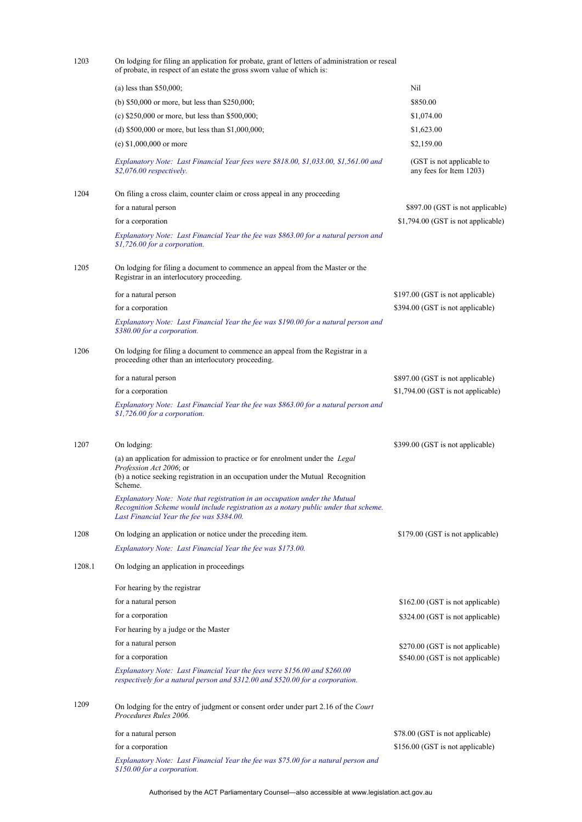| 1203   | On lodging for filing an application for probate, grant of letters of administration or reseal<br>of probate, in respect of an estate the gross sworn value of which is:                                       |                                                      |  |
|--------|----------------------------------------------------------------------------------------------------------------------------------------------------------------------------------------------------------------|------------------------------------------------------|--|
|        | (a) less than $$50,000$ ;                                                                                                                                                                                      | Nil                                                  |  |
|        | (b) $$50,000$ or more, but less than $$250,000$ ;                                                                                                                                                              | \$850.00                                             |  |
|        | (c) $$250,000$ or more, but less than $$500,000$ ;                                                                                                                                                             | \$1,074.00                                           |  |
|        | (d) $$500,000$ or more, but less than $$1,000,000$ ;                                                                                                                                                           | \$1,623.00                                           |  |
|        | (e) $$1,000,000$ or more                                                                                                                                                                                       | \$2,159.00                                           |  |
|        | Explanatory Note: Last Financial Year fees were \$818.00, \$1,033.00, \$1,561.00 and<br>\$2,076.00 respectively.                                                                                               | (GST is not applicable to<br>any fees for Item 1203) |  |
| 1204   | On filing a cross claim, counter claim or cross appeal in any proceeding                                                                                                                                       |                                                      |  |
|        | for a natural person                                                                                                                                                                                           | \$897.00 (GST is not applicable)                     |  |
|        | for a corporation                                                                                                                                                                                              | \$1,794.00 (GST is not applicable)                   |  |
|        | Explanatory Note: Last Financial Year the fee was \$863.00 for a natural person and<br>\$1,726.00 for a corporation.                                                                                           |                                                      |  |
| 1205   | On lodging for filing a document to commence an appeal from the Master or the<br>Registrar in an interlocutory proceeding.                                                                                     |                                                      |  |
|        | for a natural person                                                                                                                                                                                           | \$197.00 (GST is not applicable)                     |  |
|        | for a corporation                                                                                                                                                                                              | \$394.00 (GST is not applicable)                     |  |
|        | Explanatory Note: Last Financial Year the fee was \$190.00 for a natural person and<br>\$380.00 for a corporation.                                                                                             |                                                      |  |
| 1206   | On lodging for filing a document to commence an appeal from the Registrar in a<br>proceeding other than an interlocutory proceeding.                                                                           |                                                      |  |
|        | for a natural person                                                                                                                                                                                           | \$897.00 (GST is not applicable)                     |  |
|        | for a corporation                                                                                                                                                                                              | \$1,794.00 (GST is not applicable)                   |  |
|        | Explanatory Note: Last Financial Year the fee was \$863.00 for a natural person and<br>\$1,726.00 for a corporation.                                                                                           |                                                      |  |
| 1207   | On lodging:                                                                                                                                                                                                    | \$399.00 (GST is not applicable)                     |  |
|        | (a) an application for admission to practice or for enrolment under the Legal                                                                                                                                  |                                                      |  |
|        | Profession Act 2006; or<br>(b) a notice seeking registration in an occupation under the Mutual Recognition<br>Scheme.                                                                                          |                                                      |  |
|        | Explanatory Note: Note that registration in an occupation under the Mutual<br>Recognition Scheme would include registration as a notary public under that scheme.<br>Last Financial Year the fee was \$384.00. |                                                      |  |
| 1208   | On lodging an application or notice under the preceding item.                                                                                                                                                  | \$179.00 (GST is not applicable)                     |  |
|        | Explanatory Note: Last Financial Year the fee was \$173.00.                                                                                                                                                    |                                                      |  |
| 1208.1 | On lodging an application in proceedings                                                                                                                                                                       |                                                      |  |
|        | For hearing by the registrar                                                                                                                                                                                   |                                                      |  |
|        | for a natural person                                                                                                                                                                                           | \$162.00 (GST is not applicable)                     |  |
|        | for a corporation                                                                                                                                                                                              | \$324.00 (GST is not applicable)                     |  |
|        | For hearing by a judge or the Master                                                                                                                                                                           |                                                      |  |
|        | for a natural person                                                                                                                                                                                           | \$270.00 (GST is not applicable)                     |  |
|        | for a corporation                                                                                                                                                                                              | \$540.00 (GST is not applicable)                     |  |
|        | Explanatory Note: Last Financial Year the fees were \$156.00 and \$260.00<br>respectively for a natural person and \$312.00 and \$520.00 for a corporation.                                                    |                                                      |  |
| 1209   | On lodging for the entry of judgment or consent order under part 2.16 of the Court<br>Procedures Rules 2006.                                                                                                   |                                                      |  |
|        | for a natural person                                                                                                                                                                                           | \$78.00 (GST is not applicable)                      |  |
|        | for a corporation                                                                                                                                                                                              | \$156.00 (GST is not applicable)                     |  |
|        | Explanatory Note: Last Financial Year the fee was \$75.00 for a natural person and<br>\$150.00 for a corporation.                                                                                              |                                                      |  |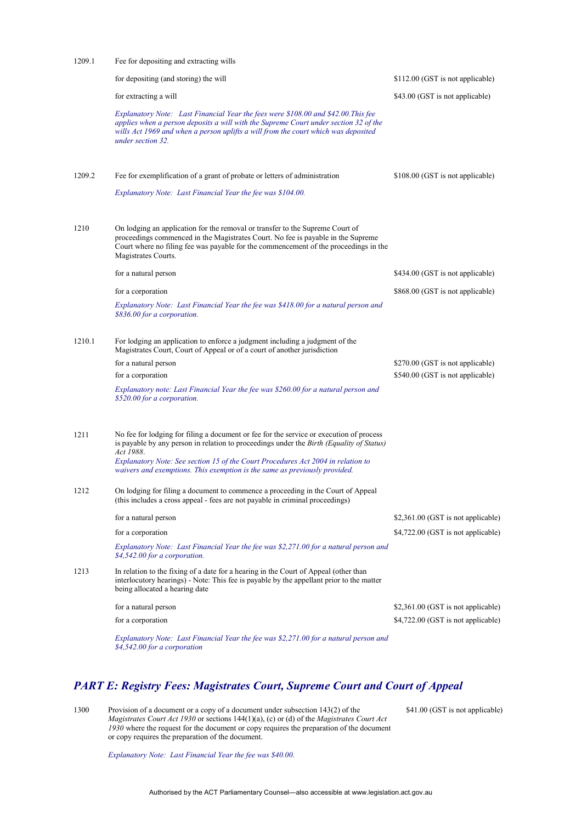| 1209.1 | Fee for depositing and extracting wills                                                                                                                                                                                                                                                                                                                                   |                                    |  |
|--------|---------------------------------------------------------------------------------------------------------------------------------------------------------------------------------------------------------------------------------------------------------------------------------------------------------------------------------------------------------------------------|------------------------------------|--|
|        | for depositing (and storing) the will                                                                                                                                                                                                                                                                                                                                     | \$112.00 (GST is not applicable)   |  |
|        | for extracting a will                                                                                                                                                                                                                                                                                                                                                     | \$43.00 (GST is not applicable)    |  |
|        | Explanatory Note: Last Financial Year the fees were \$108.00 and \$42.00. This fee<br>applies when a person deposits a will with the Supreme Court under section 32 of the<br>wills Act 1969 and when a person uplifts a will from the court which was deposited<br>under section 32.                                                                                     |                                    |  |
| 1209.2 | Fee for exemplification of a grant of probate or letters of administration                                                                                                                                                                                                                                                                                                | \$108.00 (GST is not applicable)   |  |
|        | Explanatory Note: Last Financial Year the fee was \$104.00.                                                                                                                                                                                                                                                                                                               |                                    |  |
| 1210   | On lodging an application for the removal or transfer to the Supreme Court of<br>proceedings commenced in the Magistrates Court. No fee is payable in the Supreme<br>Court where no filing fee was payable for the commencement of the proceedings in the<br>Magistrates Courts.                                                                                          |                                    |  |
|        | for a natural person                                                                                                                                                                                                                                                                                                                                                      | \$434.00 (GST is not applicable)   |  |
|        | for a corporation                                                                                                                                                                                                                                                                                                                                                         | \$868.00 (GST is not applicable)   |  |
|        | Explanatory Note: Last Financial Year the fee was \$418.00 for a natural person and<br>\$836.00 for a corporation.                                                                                                                                                                                                                                                        |                                    |  |
| 1210.1 | For lodging an application to enforce a judgment including a judgment of the<br>Magistrates Court, Court of Appeal or of a court of another jurisdiction                                                                                                                                                                                                                  |                                    |  |
|        | for a natural person                                                                                                                                                                                                                                                                                                                                                      | \$270.00 (GST is not applicable)   |  |
|        | for a corporation                                                                                                                                                                                                                                                                                                                                                         | \$540.00 (GST is not applicable)   |  |
|        | Explanatory note: Last Financial Year the fee was \$260.00 for a natural person and<br>\$520.00 for a corporation.                                                                                                                                                                                                                                                        |                                    |  |
| 1211   | No fee for lodging for filing a document or fee for the service or execution of process<br>is payable by any person in relation to proceedings under the <i>Birth (Equality of Status)</i><br>Act 1988.<br>Explanatory Note: See section 15 of the Court Procedures Act 2004 in relation to<br>waivers and exemptions. This exemption is the same as previously provided. |                                    |  |
| 1212   | On lodging for filing a document to commence a proceeding in the Court of Appeal<br>(this includes a cross appeal - fees are not payable in criminal proceedings)                                                                                                                                                                                                         |                                    |  |
|        | for a natural person                                                                                                                                                                                                                                                                                                                                                      | \$2,361.00 (GST is not applicable) |  |
|        | for a corporation                                                                                                                                                                                                                                                                                                                                                         | \$4,722.00 (GST is not applicable) |  |
|        | Explanatory Note: Last Financial Year the fee was \$2,271.00 for a natural person and<br>\$4,542.00 for a corporation.                                                                                                                                                                                                                                                    |                                    |  |
| 1213   | In relation to the fixing of a date for a hearing in the Court of Appeal (other than<br>interlocutory hearings) - Note: This fee is payable by the appellant prior to the matter<br>being allocated a hearing date                                                                                                                                                        |                                    |  |
|        | for a natural person                                                                                                                                                                                                                                                                                                                                                      | \$2,361.00 (GST is not applicable) |  |
|        | for a corporation                                                                                                                                                                                                                                                                                                                                                         | \$4,722.00 (GST is not applicable) |  |
|        | Explanatory Note: Last Financial Year the fee was \$2,271.00 for a natural person and<br>\$4,542.00 for a corporation                                                                                                                                                                                                                                                     |                                    |  |

#### *PART E: Registry Fees: Magistrates Court, Supreme Court and Court of Appeal*

1300 Provision of a document or a copy of a document under subsection 143(2) of the *Magistrates Court Act 1930* or sections 144(1)(a), (c) or (d) of the *Magistrates Court Act 1930* where the request for the document or copy requires the preparation of the document or copy requires the preparation of the document.

\$41.00 (GST is not applicable)

*Explanatory Note: Last Financial Year the fee was \$40.00.*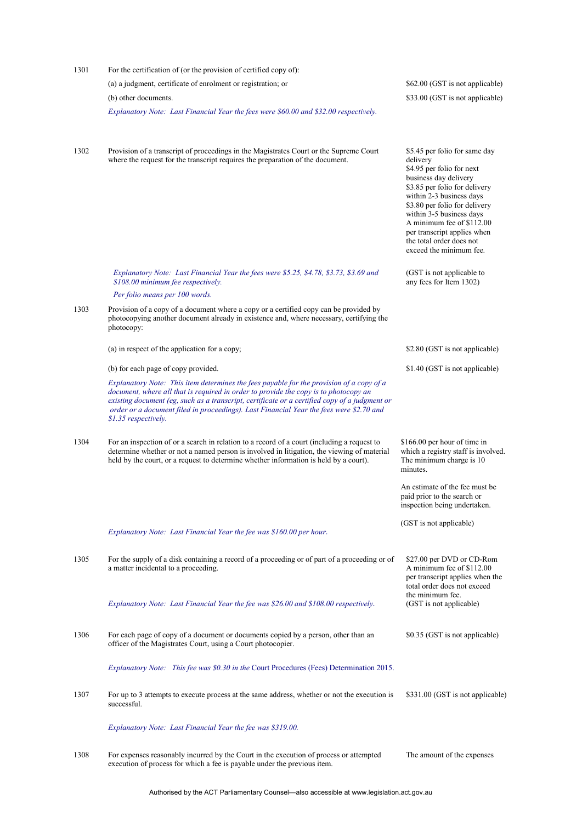| 1301 | For the certification of (or the provision of certified copy of):                                                                                                                                                                                                                                                                                                                                    |                                                                                                                                                                                                                                                                                                                                              |
|------|------------------------------------------------------------------------------------------------------------------------------------------------------------------------------------------------------------------------------------------------------------------------------------------------------------------------------------------------------------------------------------------------------|----------------------------------------------------------------------------------------------------------------------------------------------------------------------------------------------------------------------------------------------------------------------------------------------------------------------------------------------|
|      | (a) a judgment, certificate of enrolment or registration; or                                                                                                                                                                                                                                                                                                                                         | \$62.00 (GST is not applicable)                                                                                                                                                                                                                                                                                                              |
|      | (b) other documents.                                                                                                                                                                                                                                                                                                                                                                                 | \$33.00 (GST is not applicable)                                                                                                                                                                                                                                                                                                              |
|      | Explanatory Note: Last Financial Year the fees were \$60.00 and \$32.00 respectively.                                                                                                                                                                                                                                                                                                                |                                                                                                                                                                                                                                                                                                                                              |
| 1302 | Provision of a transcript of proceedings in the Magistrates Court or the Supreme Court<br>where the request for the transcript requires the preparation of the document.                                                                                                                                                                                                                             | \$5.45 per folio for same day<br>delivery<br>\$4.95 per folio for next<br>business day delivery<br>\$3.85 per folio for delivery<br>within 2-3 business days<br>\$3.80 per folio for delivery<br>within 3-5 business days<br>A minimum fee of \$112.00<br>per transcript applies when<br>the total order does not<br>exceed the minimum fee. |
|      | Explanatory Note: Last Financial Year the fees were \$5.25, \$4.78, \$3.73, \$3.69 and<br>\$108.00 minimum fee respectively.                                                                                                                                                                                                                                                                         | (GST is not applicable to<br>any fees for Item 1302)                                                                                                                                                                                                                                                                                         |
|      | Per folio means per 100 words.                                                                                                                                                                                                                                                                                                                                                                       |                                                                                                                                                                                                                                                                                                                                              |
| 1303 | Provision of a copy of a document where a copy or a certified copy can be provided by<br>photocopying another document already in existence and, where necessary, certifying the<br>photocopy:                                                                                                                                                                                                       |                                                                                                                                                                                                                                                                                                                                              |
|      | (a) in respect of the application for a copy;                                                                                                                                                                                                                                                                                                                                                        | \$2.80 (GST is not applicable)                                                                                                                                                                                                                                                                                                               |
|      | (b) for each page of copy provided.                                                                                                                                                                                                                                                                                                                                                                  | \$1.40 (GST is not applicable)                                                                                                                                                                                                                                                                                                               |
|      | Explanatory Note: This item determines the fees payable for the provision of a copy of a<br>document, where all that is required in order to provide the copy is to photocopy an<br>existing document (eg, such as a transcript, certificate or a certified copy of a judgment or<br>order or a document filed in proceedings). Last Financial Year the fees were \$2.70 and<br>\$1.35 respectively. |                                                                                                                                                                                                                                                                                                                                              |
| 1304 | For an inspection of or a search in relation to a record of a court (including a request to<br>determine whether or not a named person is involved in litigation, the viewing of material<br>held by the court, or a request to determine whether information is held by a court).                                                                                                                   | \$166.00 per hour of time in<br>which a registry staff is involved.<br>The minimum charge is 10<br>minutes.                                                                                                                                                                                                                                  |
|      |                                                                                                                                                                                                                                                                                                                                                                                                      | An estimate of the fee must be.<br>paid prior to the search or<br>inspection being undertaken.                                                                                                                                                                                                                                               |
|      | Explanatory Note: Last Financial Year the fee was \$160.00 per hour.                                                                                                                                                                                                                                                                                                                                 | (GST is not applicable)                                                                                                                                                                                                                                                                                                                      |
| 1305 | For the supply of a disk containing a record of a proceeding or of part of a proceeding or of<br>a matter incidental to a proceeding.                                                                                                                                                                                                                                                                | \$27.00 per DVD or CD-Rom<br>A minimum fee of \$112.00<br>per transcript applies when the<br>total order does not exceed                                                                                                                                                                                                                     |
|      | Explanatory Note: Last Financial Year the fee was \$26.00 and \$108.00 respectively.                                                                                                                                                                                                                                                                                                                 | the minimum fee.<br>(GST is not applicable)                                                                                                                                                                                                                                                                                                  |
| 1306 | For each page of copy of a document or documents copied by a person, other than an<br>officer of the Magistrates Court, using a Court photocopier.                                                                                                                                                                                                                                                   | \$0.35 (GST is not applicable)                                                                                                                                                                                                                                                                                                               |
|      | <i>Explanatory Note: This fee was \$0.30 in the Court Procedures (Fees) Determination 2015.</i>                                                                                                                                                                                                                                                                                                      |                                                                                                                                                                                                                                                                                                                                              |
| 1307 | For up to 3 attempts to execute process at the same address, whether or not the execution is<br>successful.                                                                                                                                                                                                                                                                                          | \$331.00 (GST is not applicable)                                                                                                                                                                                                                                                                                                             |
|      | Explanatory Note: Last Financial Year the fee was \$319.00.                                                                                                                                                                                                                                                                                                                                          |                                                                                                                                                                                                                                                                                                                                              |
| 1308 | For expenses reasonably incurred by the Court in the execution of process or attempted<br>execution of process for which a fee is payable under the previous item.                                                                                                                                                                                                                                   | The amount of the expenses                                                                                                                                                                                                                                                                                                                   |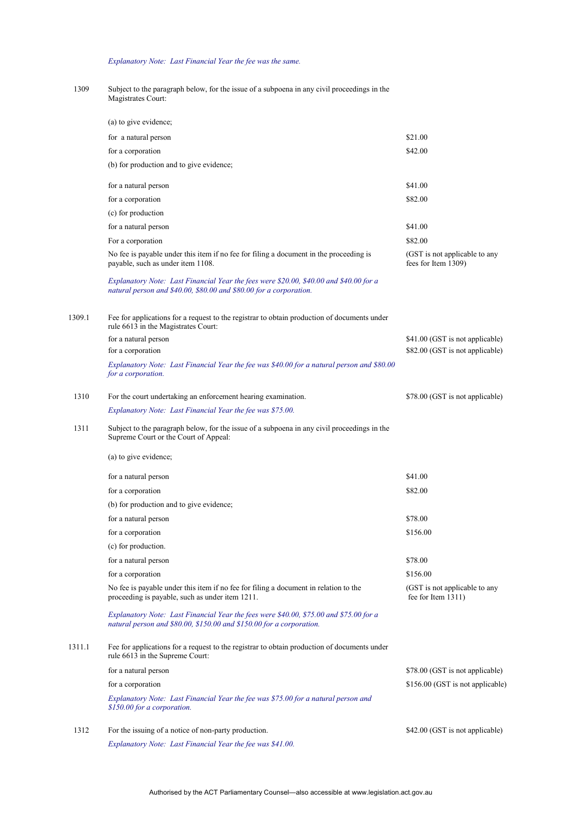#### *Explanatory Note: Last Financial Year the fee was the same.*

1309 Subject to the paragraph below, for the issue of a subpoena in any civil proceedings in the Magistrates Court:

|        | (a) to give evidence;                                                                                                                                          |                                                      |
|--------|----------------------------------------------------------------------------------------------------------------------------------------------------------------|------------------------------------------------------|
|        | for a natural person                                                                                                                                           | \$21.00                                              |
|        | for a corporation                                                                                                                                              | \$42.00                                              |
|        | (b) for production and to give evidence;                                                                                                                       |                                                      |
|        | for a natural person                                                                                                                                           | \$41.00                                              |
|        | for a corporation                                                                                                                                              | \$82.00                                              |
|        | (c) for production                                                                                                                                             |                                                      |
|        | for a natural person                                                                                                                                           | \$41.00                                              |
|        | For a corporation                                                                                                                                              | \$82.00                                              |
|        | No fee is payable under this item if no fee for filing a document in the proceeding is<br>payable, such as under item 1108.                                    | (GST is not applicable to any<br>fees for Item 1309) |
|        | Explanatory Note: Last Financial Year the fees were \$20.00, \$40.00 and \$40.00 for a<br>natural person and \$40.00, \$80.00 and \$80.00 for a corporation.   |                                                      |
| 1309.1 | Fee for applications for a request to the registrar to obtain production of documents under<br>rule 6613 in the Magistrates Court:                             |                                                      |
|        | for a natural person                                                                                                                                           | \$41.00 (GST is not applicable)                      |
|        | for a corporation                                                                                                                                              | \$82.00 (GST is not applicable)                      |
|        | Explanatory Note: Last Financial Year the fee was \$40.00 for a natural person and \$80.00<br>for a corporation.                                               |                                                      |
| 1310   | For the court undertaking an enforcement hearing examination.                                                                                                  | \$78.00 (GST is not applicable)                      |
|        | Explanatory Note: Last Financial Year the fee was \$75.00.                                                                                                     |                                                      |
| 1311   | Subject to the paragraph below, for the issue of a subpoena in any civil proceedings in the<br>Supreme Court or the Court of Appeal:                           |                                                      |
|        | (a) to give evidence;                                                                                                                                          |                                                      |
|        | for a natural person                                                                                                                                           | \$41.00                                              |
|        | for a corporation                                                                                                                                              | \$82.00                                              |
|        | (b) for production and to give evidence;                                                                                                                       |                                                      |
|        | for a natural person                                                                                                                                           | \$78.00                                              |
|        | for a corporation                                                                                                                                              | \$156.00                                             |
|        | (c) for production.                                                                                                                                            |                                                      |
|        | for a natural person                                                                                                                                           | \$78.00                                              |
|        | for a corporation                                                                                                                                              | \$156.00                                             |
|        | No fee is payable under this item if no fee for filing a document in relation to the<br>proceeding is payable, such as under item 1211.                        | (GST is not applicable to any<br>fee for Item 1311)  |
|        | Explanatory Note: Last Financial Year the fees were \$40.00, \$75.00 and \$75.00 for a<br>natural person and \$80.00, \$150.00 and \$150.00 for a corporation. |                                                      |
| 1311.1 | Fee for applications for a request to the registrar to obtain production of documents under<br>rule 6613 in the Supreme Court:                                 |                                                      |
|        | for a natural person                                                                                                                                           | \$78.00 (GST is not applicable)                      |
|        | for a corporation                                                                                                                                              | \$156.00 (GST is not applicable)                     |
|        | Explanatory Note: Last Financial Year the fee was \$75.00 for a natural person and<br>\$150.00 for a corporation.                                              |                                                      |
| 1312   | For the issuing of a notice of non-party production.                                                                                                           | \$42.00 (GST is not applicable)                      |
|        | Explanatory Note: Last Financial Year the fee was \$41.00.                                                                                                     |                                                      |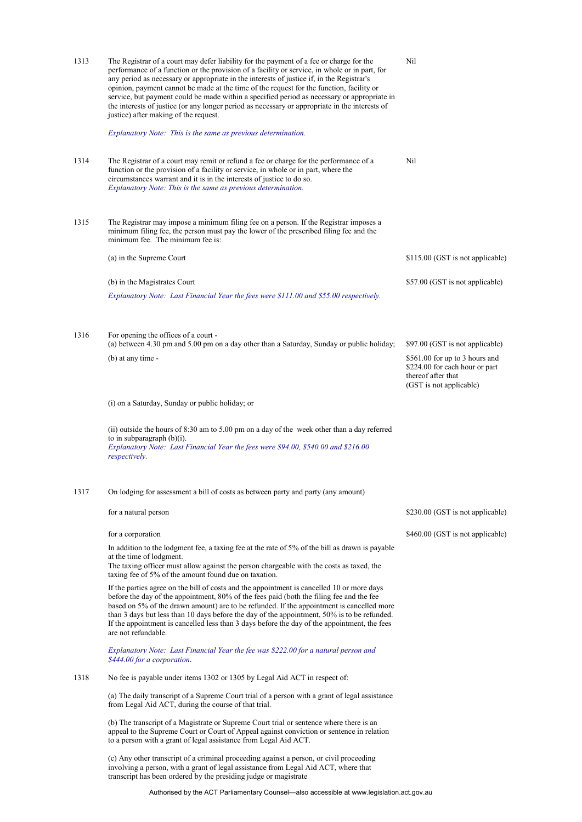| 1313 | The Registrar of a court may defer liability for the payment of a fee or charge for the<br>performance of a function or the provision of a facility or service, in whole or in part, for<br>any period as necessary or appropriate in the interests of justice if, in the Registrar's<br>opinion, payment cannot be made at the time of the request for the function, facility or<br>service, but payment could be made within a specified period as necessary or appropriate in<br>the interests of justice (or any longer period as necessary or appropriate in the interests of<br>justice) after making of the request.<br>Explanatory Note: This is the same as previous determination. | Nil                                                                                                                                                  |
|------|----------------------------------------------------------------------------------------------------------------------------------------------------------------------------------------------------------------------------------------------------------------------------------------------------------------------------------------------------------------------------------------------------------------------------------------------------------------------------------------------------------------------------------------------------------------------------------------------------------------------------------------------------------------------------------------------|------------------------------------------------------------------------------------------------------------------------------------------------------|
| 1314 | The Registrar of a court may remit or refund a fee or charge for the performance of a<br>function or the provision of a facility or service, in whole or in part, where the<br>circumstances warrant and it is in the interests of justice to do so.<br>Explanatory Note: This is the same as previous determination.                                                                                                                                                                                                                                                                                                                                                                        | Nil                                                                                                                                                  |
| 1315 | The Registrar may impose a minimum filing fee on a person. If the Registrar imposes a<br>minimum filing fee, the person must pay the lower of the prescribed filing fee and the<br>minimum fee. The minimum fee is:                                                                                                                                                                                                                                                                                                                                                                                                                                                                          |                                                                                                                                                      |
|      | (a) in the Supreme Court                                                                                                                                                                                                                                                                                                                                                                                                                                                                                                                                                                                                                                                                     | \$115.00 (GST is not applicable)                                                                                                                     |
|      | (b) in the Magistrates Court                                                                                                                                                                                                                                                                                                                                                                                                                                                                                                                                                                                                                                                                 | \$57.00 (GST is not applicable)                                                                                                                      |
|      | Explanatory Note: Last Financial Year the fees were \$111.00 and \$55.00 respectively.                                                                                                                                                                                                                                                                                                                                                                                                                                                                                                                                                                                                       |                                                                                                                                                      |
| 1316 | For opening the offices of a court -<br>(a) between 4.30 pm and 5.00 pm on a day other than a Saturday, Sunday or public holiday;<br>(b) at any time -                                                                                                                                                                                                                                                                                                                                                                                                                                                                                                                                       | \$97.00 (GST is not applicable)<br>\$561.00 for up to 3 hours and<br>\$224.00 for each hour or part<br>thereof after that<br>(GST is not applicable) |
|      | (i) on a Saturday, Sunday or public holiday; or                                                                                                                                                                                                                                                                                                                                                                                                                                                                                                                                                                                                                                              |                                                                                                                                                      |
|      | (ii) outside the hours of 8:30 am to 5.00 pm on a day of the week other than a day referred<br>to in subparagraph $(b)(i)$ .<br>Explanatory Note: Last Financial Year the fees were \$94.00, \$540.00 and \$216.00<br>respectively.                                                                                                                                                                                                                                                                                                                                                                                                                                                          |                                                                                                                                                      |
| 1317 | On lodging for assessment a bill of costs as between party and party (any amount)                                                                                                                                                                                                                                                                                                                                                                                                                                                                                                                                                                                                            |                                                                                                                                                      |
|      | for a natural person                                                                                                                                                                                                                                                                                                                                                                                                                                                                                                                                                                                                                                                                         | \$230.00 (GST is not applicable)                                                                                                                     |
|      | for a corporation                                                                                                                                                                                                                                                                                                                                                                                                                                                                                                                                                                                                                                                                            | \$460.00 (GST is not applicable)                                                                                                                     |
|      | In addition to the lodgment fee, a taxing fee at the rate of 5% of the bill as drawn is payable<br>at the time of lodgment.<br>The taxing officer must allow against the person chargeable with the costs as taxed, the<br>taxing fee of 5% of the amount found due on taxation.                                                                                                                                                                                                                                                                                                                                                                                                             |                                                                                                                                                      |
|      | If the parties agree on the bill of costs and the appointment is cancelled 10 or more days<br>before the day of the appointment, 80% of the fees paid (both the filing fee and the fee<br>based on 5% of the drawn amount) are to be refunded. If the appointment is cancelled more<br>than 3 days but less than 10 days before the day of the appointment, 50% is to be refunded.<br>If the appointment is cancelled less than 3 days before the day of the appointment, the fees<br>are not refundable.                                                                                                                                                                                    |                                                                                                                                                      |
|      | Explanatory Note: Last Financial Year the fee was \$222.00 for a natural person and<br>\$444.00 for a corporation.                                                                                                                                                                                                                                                                                                                                                                                                                                                                                                                                                                           |                                                                                                                                                      |
| 1318 | No fee is payable under items 1302 or 1305 by Legal Aid ACT in respect of:                                                                                                                                                                                                                                                                                                                                                                                                                                                                                                                                                                                                                   |                                                                                                                                                      |
|      | (a) The daily transcript of a Supreme Court trial of a person with a grant of legal assistance<br>from Legal Aid ACT, during the course of that trial.                                                                                                                                                                                                                                                                                                                                                                                                                                                                                                                                       |                                                                                                                                                      |
|      | (b) The transcript of a Magistrate or Supreme Court trial or sentence where there is an<br>appeal to the Supreme Court or Court of Appeal against conviction or sentence in relation<br>to a person with a grant of legal assistance from Legal Aid ACT.                                                                                                                                                                                                                                                                                                                                                                                                                                     |                                                                                                                                                      |
|      | (c) Any other transcript of a criminal proceeding against a person, or civil proceeding<br>involving a person, with a grant of legal assistance from Legal Aid ACT, where that                                                                                                                                                                                                                                                                                                                                                                                                                                                                                                               |                                                                                                                                                      |

transcript has been ordered by the presiding judge or magistrate